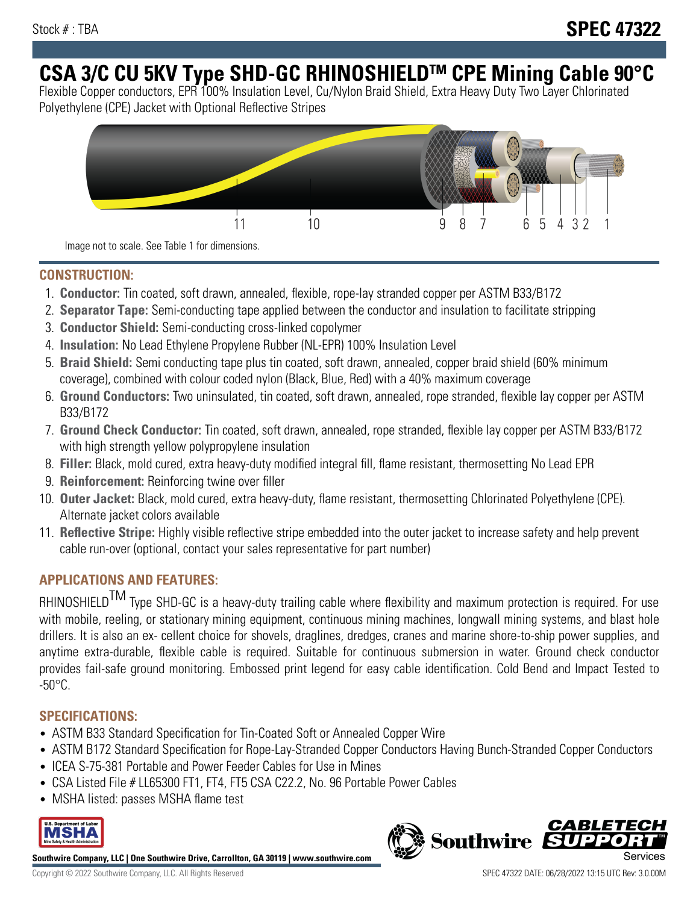# **CSA 3/C CU 5KV Type SHD-GC RHINOSHIELDTM CPE Mining Cable 90°C**

Flexible Copper conductors, EPR 100% Insulation Level, Cu/Nylon Braid Shield, Extra Heavy Duty Two Layer Chlorinated Polyethylene (CPE) Jacket with Optional Reflective Stripes



Image not to scale. See Table 1 for dimensions.

## **CONSTRUCTION:**

- 1. **Conductor:** Tin coated, soft drawn, annealed, flexible, rope-lay stranded copper per ASTM B33/B172
- 2. **Separator Tape:** Semi-conducting tape applied between the conductor and insulation to facilitate stripping
- 3. **Conductor Shield:** Semi-conducting cross-linked copolymer
- 4. **Insulation:** No Lead Ethylene Propylene Rubber (NL-EPR) 100% Insulation Level
- 5. **Braid Shield:** Semi conducting tape plus tin coated, soft drawn, annealed, copper braid shield (60% minimum coverage), combined with colour coded nylon (Black, Blue, Red) with a 40% maximum coverage
- 6. **Ground Conductors:** Two uninsulated, tin coated, soft drawn, annealed, rope stranded, flexible lay copper per ASTM B33/B172
- 7. **Ground Check Conductor:** Tin coated, soft drawn, annealed, rope stranded, flexible lay copper per ASTM B33/B172 with high strength yellow polypropylene insulation
- 8. **Filler:** Black, mold cured, extra heavy-duty modified integral fill, flame resistant, thermosetting No Lead EPR
- 9. **Reinforcement:** Reinforcing twine over filler
- 10. **Outer Jacket:** Black, mold cured, extra heavy-duty, flame resistant, thermosetting Chlorinated Polyethylene (CPE). Alternate jacket colors available
- 11. **Reflective Stripe:** Highly visible reflective stripe embedded into the outer jacket to increase safety and help prevent cable run-over (optional, contact your sales representative for part number)

# **APPLICATIONS AND FEATURES:**

RHINOSHIELD<sup>TM</sup> Type SHD-GC is a heavy-duty trailing cable where flexibility and maximum protection is required. For use with mobile, reeling, or stationary mining equipment, continuous mining machines, longwall mining systems, and blast hole drillers. It is also an ex- cellent choice for shovels, draglines, dredges, cranes and marine shore-to-ship power supplies, and anytime extra-durable, flexible cable is required. Suitable for continuous submersion in water. Ground check conductor provides fail-safe ground monitoring. Embossed print legend for easy cable identification. Cold Bend and Impact Tested to -50°C.

#### **SPECIFICATIONS:**

- ASTM B33 Standard Specification for Tin-Coated Soft or Annealed Copper Wire
- ASTM B172 Standard Specification for Rope-Lay-Stranded Copper Conductors Having Bunch-Stranded Copper Conductors
- ICEA S-75-381 Portable and Power Feeder Cables for Use in Mines
- CSA Listed File # LL65300 FT1, FT4, FT5 CSA C22.2, No. 96 Portable Power Cables
- MSHA listed: passes MSHA flame test



**Southwire Company, LLC | One Southwire Drive, Carrollton, GA 30119 | www.southwire.com**

**Southwire** 

**CARLET**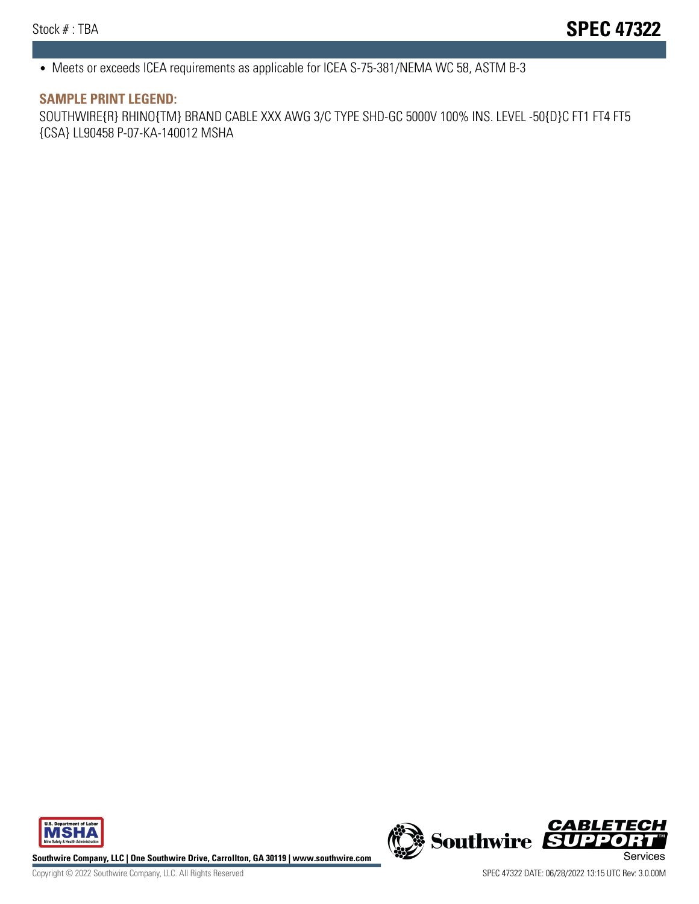• Meets or exceeds ICEA requirements as applicable for ICEA S-75-381/NEMA WC 58, ASTM B-3

#### **SAMPLE PRINT LEGEND:**

SOUTHWIRE{R} RHINO{TM} BRAND CABLE XXX AWG 3/C TYPE SHD-GC 5000V 100% INS. LEVEL -50{D}C FT1 FT4 FT5 {CSA} LL90458 P-07-KA-140012 MSHA